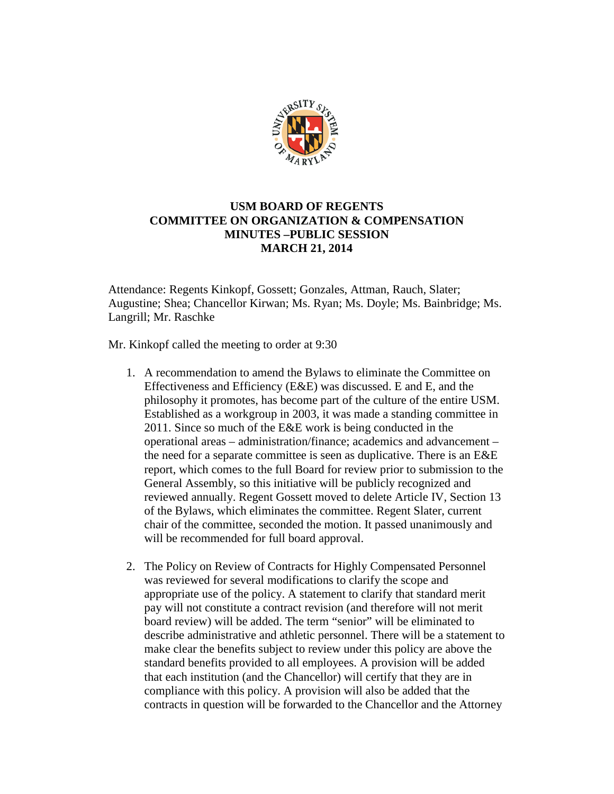

## **USM BOARD OF REGENTS COMMITTEE ON ORGANIZATION & COMPENSATION MINUTES –PUBLIC SESSION MARCH 21, 2014**

Attendance: Regents Kinkopf, Gossett; Gonzales, Attman, Rauch, Slater; Augustine; Shea; Chancellor Kirwan; Ms. Ryan; Ms. Doyle; Ms. Bainbridge; Ms. Langrill; Mr. Raschke

Mr. Kinkopf called the meeting to order at 9:30

- 1. A recommendation to amend the Bylaws to eliminate the Committee on Effectiveness and Efficiency (E&E) was discussed. E and E, and the philosophy it promotes, has become part of the culture of the entire USM. Established as a workgroup in 2003, it was made a standing committee in 2011. Since so much of the E&E work is being conducted in the operational areas – administration/finance; academics and advancement – the need for a separate committee is seen as duplicative. There is an E&E report, which comes to the full Board for review prior to submission to the General Assembly, so this initiative will be publicly recognized and reviewed annually. Regent Gossett moved to delete Article IV, Section 13 of the Bylaws, which eliminates the committee. Regent Slater, current chair of the committee, seconded the motion. It passed unanimously and will be recommended for full board approval.
- 2. The Policy on Review of Contracts for Highly Compensated Personnel was reviewed for several modifications to clarify the scope and appropriate use of the policy. A statement to clarify that standard merit pay will not constitute a contract revision (and therefore will not merit board review) will be added. The term "senior" will be eliminated to describe administrative and athletic personnel. There will be a statement to make clear the benefits subject to review under this policy are above the standard benefits provided to all employees. A provision will be added that each institution (and the Chancellor) will certify that they are in compliance with this policy. A provision will also be added that the contracts in question will be forwarded to the Chancellor and the Attorney